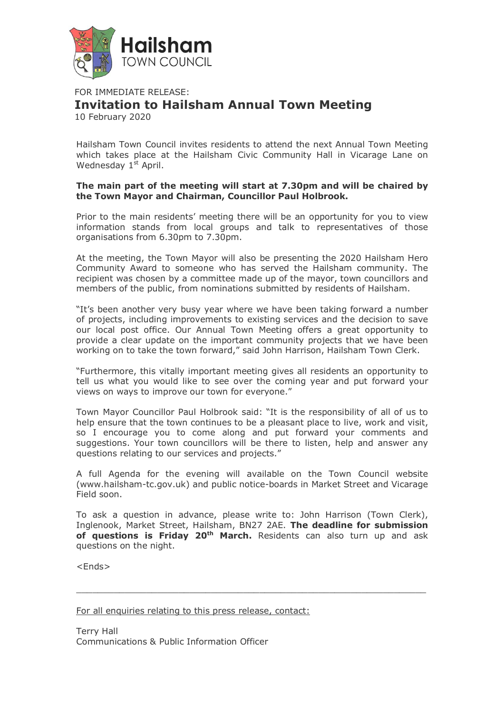

FOR IMMEDIATE RELEASE: **Invitation to Hailsham Annual Town Meeting** 10 February 2020

Hailsham Town Council invites residents to attend the next Annual Town Meeting which takes place at the Hailsham Civic Community Hall in Vicarage Lane on Wednesday 1st April.

## **The main part of the meeting will start at 7.30pm and will be chaired by the Town Mayor and Chairman, Councillor Paul Holbrook.**

Prior to the main residents' meeting there will be an opportunity for you to view information stands from local groups and talk to representatives of those organisations from 6.30pm to 7.30pm.

At the meeting, the Town Mayor will also be presenting the 2020 Hailsham Hero Community Award to someone who has served the Hailsham community. The recipient was chosen by a committee made up of the mayor, town councillors and members of the public, from nominations submitted by residents of Hailsham.

"It's been another very busy year where we have been taking forward a number of projects, including improvements to existing services and the decision to save our local post office. Our Annual Town Meeting offers a great opportunity to provide a clear update on the important community projects that we have been working on to take the town forward," said John Harrison, Hailsham Town Clerk.

"Furthermore, this vitally important meeting gives all residents an opportunity to tell us what you would like to see over the coming year and put forward your views on ways to improve our town for everyone."

Town Mayor Councillor Paul Holbrook said: "It is the responsibility of all of us to help ensure that the town continues to be a pleasant place to live, work and visit, so I encourage you to come along and put forward your comments and suggestions. Your town councillors will be there to listen, help and answer any questions relating to our services and projects."

A full Agenda for the evening will available on the Town Council website (www.hailsham-tc.gov.uk) and public notice-boards in Market Street and Vicarage Field soon.

To ask a question in advance, please write to: John Harrison (Town Clerk), Inglenook, Market Street, Hailsham, BN27 2AE. **The deadline for submission of questions is Friday 20th March.** Residents can also turn up and ask questions on the night.

 $\overline{\phantom{a}}$  ,  $\overline{\phantom{a}}$  ,  $\overline{\phantom{a}}$  ,  $\overline{\phantom{a}}$  ,  $\overline{\phantom{a}}$  ,  $\overline{\phantom{a}}$  ,  $\overline{\phantom{a}}$  ,  $\overline{\phantom{a}}$  ,  $\overline{\phantom{a}}$  ,  $\overline{\phantom{a}}$  ,  $\overline{\phantom{a}}$  ,  $\overline{\phantom{a}}$  ,  $\overline{\phantom{a}}$  ,  $\overline{\phantom{a}}$  ,  $\overline{\phantom{a}}$  ,  $\overline{\phantom{a}}$ 

<Ends>

For all enquiries relating to this press release, contact:

Terry Hall Communications & Public Information Officer